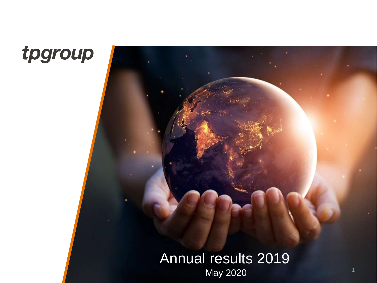

### Annual results 2019 May 2020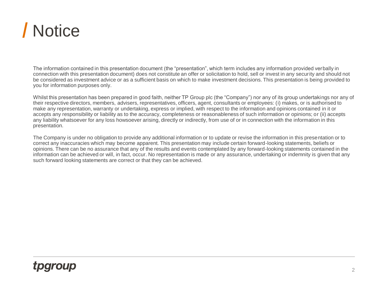

The information contained in this presentation document (the "presentation", which term includes any information provided verbally in connection with this presentation document) does not constitute an offer or solicitation to hold, sell or invest in any security and should not be considered as investment advice or as a sufficient basis on which to make investment decisions. This presentation is being provided to you for information purposes only.

Whilst this presentation has been prepared in good faith, neither TP Group plc (the "Company") nor any of its group undertakings nor any of their respective directors, members, advisers, representatives, officers, agent, consultants or employees: (i) makes, or is authorised to make any representation, warranty or undertaking, express or implied, with respect to the information and opinions contained in it or accepts any responsibility or liability as to the accuracy, completeness or reasonableness of such information or opinions; or (ii) accepts any liability whatsoever for any loss howsoever arising, directly or indirectly, from use of or in connection with the information in this presentation.

The Company is under no obligation to provide any additional information or to update or revise the information in this presentation or to correct any inaccuracies which may become apparent. This presentation may include certain forward-looking statements, beliefs or opinions. There can be no assurance that any of the results and events contemplated by any forward-looking statements contained in the information can be achieved or will, in fact, occur. No representation is made or any assurance, undertaking or indemnity is given that any such forward looking statements are correct or that they can be achieved.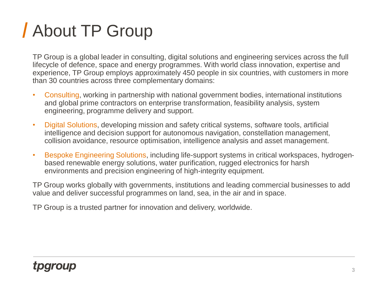## About TP Group

TP Group is a global leader in consulting, digital solutions and engineering services across the full lifecycle of defence, space and energy programmes. With world class innovation, expertise and experience, TP Group employs approximately 450 people in six countries, with customers in more than 30 countries across three complementary domains:

- Consulting, working in partnership with national government bodies, international institutions and global prime contractors on enterprise transformation, feasibility analysis, system engineering, programme delivery and support.
- Digital Solutions, developing mission and safety critical systems, software tools, artificial intelligence and decision support for autonomous navigation, constellation management, collision avoidance, resource optimisation, intelligence analysis and asset management.
- Bespoke Engineering Solutions, including life-support systems in critical workspaces, hydrogenbased renewable energy solutions, water purification, rugged electronics for harsh environments and precision engineering of high-integrity equipment.

TP Group works globally with governments, institutions and leading commercial businesses to add value and deliver successful programmes on land, sea, in the air and in space.

TP Group is a trusted partner for innovation and delivery, worldwide.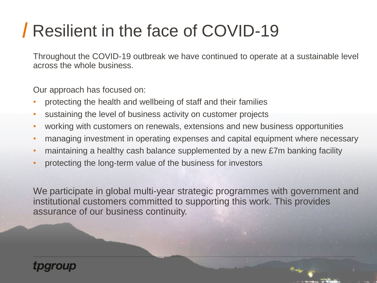## Resilient in the face of COVID-19

Throughout the COVID-19 outbreak we have continued to operate at a sustainable level across the whole business.

Our approach has focused on:

- protecting the health and wellbeing of staff and their families
- sustaining the level of business activity on customer projects
- working with customers on renewals, extensions and new business opportunities
- managing investment in operating expenses and capital equipment where necessary
- maintaining a healthy cash balance supplemented by a new £7m banking facility
- protecting the long-term value of the business for investors

We participate in global multi-year strategic programmes with government and institutional customers committed to supporting this work. This provides assurance of our business continuity.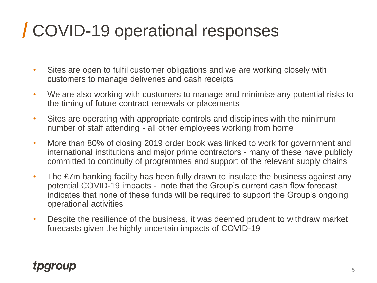## COVID-19 operational responses

- Sites are open to fulfil customer obligations and we are working closely with customers to manage deliveries and cash receipts
- We are also working with customers to manage and minimise any potential risks to the timing of future contract renewals or placements
- Sites are operating with appropriate controls and disciplines with the minimum number of staff attending - all other employees working from home
- More than 80% of closing 2019 order book was linked to work for government and international institutions and major prime contractors - many of these have publicly committed to continuity of programmes and support of the relevant supply chains
- The £7m banking facility has been fully drawn to insulate the business against any potential COVID-19 impacts - note that the Group's current cash flow forecast indicates that none of these funds will be required to support the Group's ongoing operational activities
- Despite the resilience of the business, it was deemed prudent to withdraw market forecasts given the highly uncertain impacts of COVID-19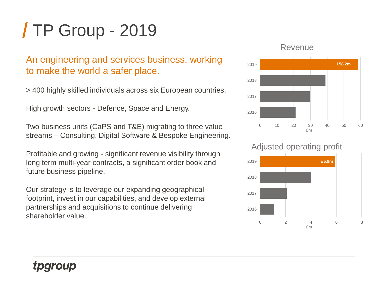## TP Group - 2019

### An engineering and services business, working to make the world a safer place.

> 400 highly skilled individuals across six European countries.

High growth sectors - Defence, Space and Energy.

Two business units (CaPS and T&E) migrating to three value streams – Consulting, Digital Software & Bespoke Engineering.

Profitable and growing - significant revenue visibility through long term multi-year contracts, a significant order book and future business pipeline.

Our strategy is to leverage our expanding geographical footprint, invest in our capabilities, and develop external partnerships and acquisitions to continue delivering shareholder value.

#### Revenue



Adjusted operating profit

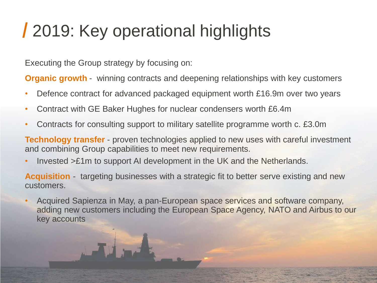## 2019: Key operational highlights

Executing the Group strategy by focusing on:

**Organic growth** - winning contracts and deepening relationships with key customers

- Defence contract for advanced packaged equipment worth £16.9m over two years
- Contract with GE Baker Hughes for nuclear condensers worth £6.4m
- Contracts for consulting support to military satellite programme worth c. £3.0m

**Technology transfer** - proven technologies applied to new uses with careful investment and combining Group capabilities to meet new requirements.

• Invested >£1m to support AI development in the UK and the Netherlands.

**Acquisition** - targeting businesses with a strategic fit to better serve existing and new customers.

• Acquired Sapienza in May, a pan-European space services and software company, adding new customers including the European Space Agency, NATO and Airbus to our key accounts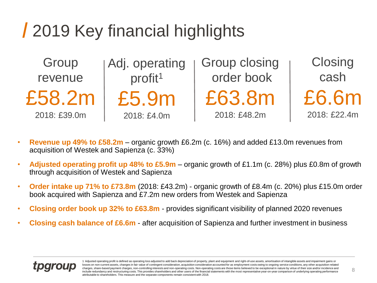## 2019 Key financial highlights

**Group** revenue £58.2m 2018: £39.0m

Adj. operating profit<sup>1</sup> £5.9m 2018: £4.0m

Group closing order book £63.8m 2018: £48.2m

**Closing** cash £6.6m 2018: £22.4m

- **Revenue up 49% to £58.2m**  organic growth £6.2m (c. 16%) and added £13.0m revenues from acquisition of Westek and Sapienza (c. 33%)
- **Adjusted operating profit up 48% to £5.9m**  organic growth of £1.1m (c. 28%) plus £0.8m of growth through acquisition of Westek and Sapienza
- **Order intake up 71% to £73.8m** (2018: £43.2m) organic growth of £8.4m (c. 20%) plus £15.0m order book acquired with Sapienza and £7.2m new orders from Westek and Sapienza
- **Closing order book up 32% to £63.8m**  provides significant visibility of planned 2020 revenues
- **Closing cash balance of £6.6m**  after acquisition of Sapienza and further investment in business

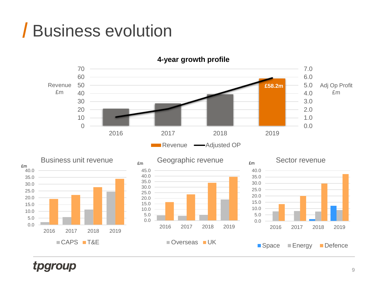### Business evolution

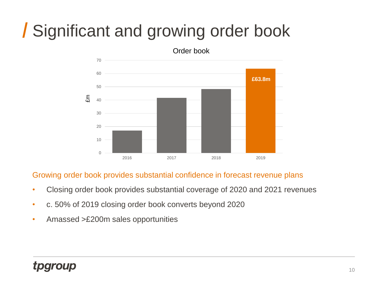## Significant and growing order book



#### Growing order book provides substantial confidence in forecast revenue plans

- Closing order book provides substantial coverage of 2020 and 2021 revenues
- c. 50% of 2019 closing order book converts beyond 2020
- Amassed >£200m sales opportunities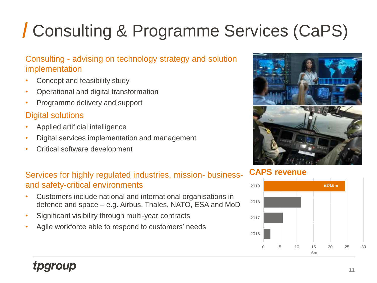# Consulting & Programme Services (CaPS)

### Consulting - advising on technology strategy and solution implementation

- Concept and feasibility study
- Operational and digital transformation
- Programme delivery and support

### Digital solutions

- Applied artificial intelligence
- Digital services implementation and management
- Critical software development

### Services for highly regulated industries, mission- businessand safety-critical environments

- Customers include national and international organisations in defence and space – e.g. Airbus, Thales, NATO, ESA and MoD
- Significant visibility through multi-year contracts
- Agile workforce able to respond to customers' needs



### **CAPS revenue**

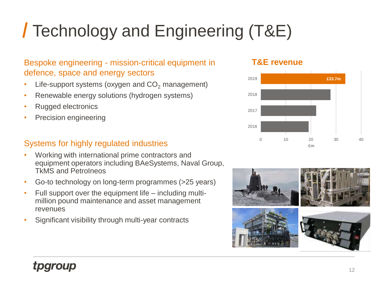# Technology and Engineering (T&E)

### Bespoke engineering - mission-critical equipment in defence, space and energy sectors

- Life-support systems (oxygen and  $CO<sub>2</sub>$  management)
- Renewable energy solutions (hydrogen systems)
- Rugged electronics
- Precision engineering

### Systems for highly regulated industries

- Working with international prime contractors and equipment operators including BAeSystems, Naval Group, TkMS and PetroIneos
- Go-to technology on long-term programmes (>25 years)
- Full support over the equipment life including multimillion pound maintenance and asset management revenues
- Significant visibility through multi-year contracts

#### **T&E revenue**



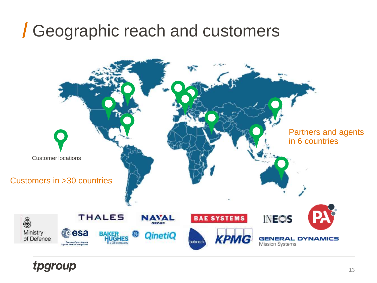### Geographic reach and customers

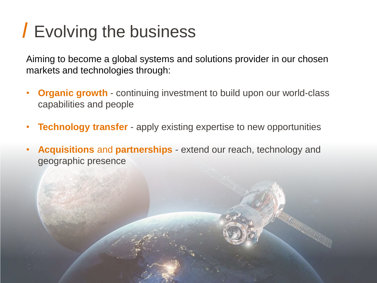## Evolving the business

Aiming to become a global systems and solutions provider in our chosen markets and technologies through:

- **Organic growth**  continuing investment to build upon our world-class capabilities and people
- **Technology transfer**  apply existing expertise to new opportunities
- **Acquisitions** and **partnerships** extend our reach, technology and geographic presence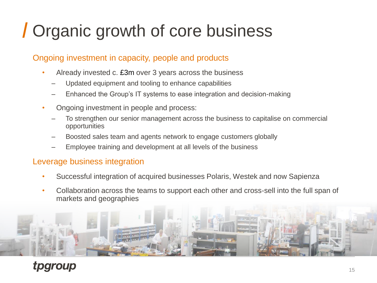## Organic growth of core business

### Ongoing investment in capacity, people and products

- Already invested c. £3m over 3 years across the business
	- Updated equipment and tooling to enhance capabilities
	- Enhanced the Group's IT systems to ease integration and decision-making
- Ongoing investment in people and process:
	- To strengthen our senior management across the business to capitalise on commercial opportunities
	- Boosted sales team and agents network to engage customers globally
	- Employee training and development at all levels of the business

### Leverage business integration

- Successful integration of acquired businesses Polaris, Westek and now Sapienza
- Collaboration across the teams to support each other and cross-sell into the full span of markets and geographies

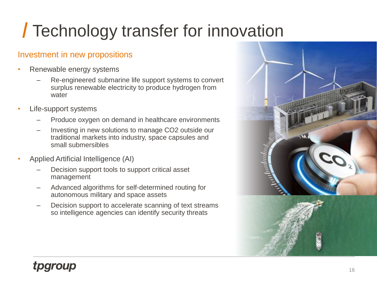## Technology transfer for innovation

### Investment in new propositions

- Renewable energy systems
	- Re-engineered submarine life support systems to convert surplus renewable electricity to produce hydrogen from water
- Life-support systems
	- Produce oxygen on demand in healthcare environments
	- Investing in new solutions to manage CO2 outside our traditional markets into industry, space capsules and small submersibles
- Applied Artificial Intelligence (AI)
	- Decision support tools to support critical asset management
	- Advanced algorithms for self-determined routing for autonomous military and space assets
	- Decision support to accelerate scanning of text streams so intelligence agencies can identify security threats

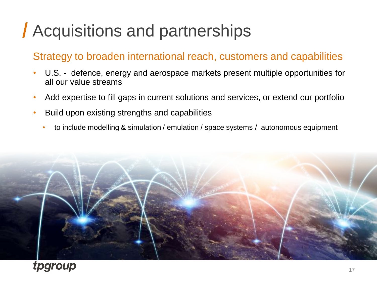## Acquisitions and partnerships

### Strategy to broaden international reach, customers and capabilities

- U.S. defence, energy and aerospace markets present multiple opportunities for all our value streams
- Add expertise to fill gaps in current solutions and services, or extend our portfolio
- Build upon existing strengths and capabilities
	- to include modelling & simulation / emulation / space systems / autonomous equipment

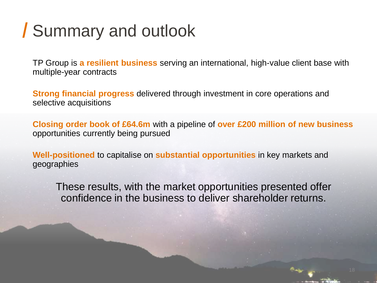## Summary and outlook

TP Group is **a resilient business** serving an international, high-value client base with multiple-year contracts

**Strong financial progress** delivered through investment in core operations and selective acquisitions

**Closing order book of £64.6m** with a pipeline of **over £200 million of new business**  opportunities currently being pursued

**Well-positioned** to capitalise on **substantial opportunities** in key markets and geographies

These results, with the market opportunities presented offer confidence in the business to deliver shareholder returns.